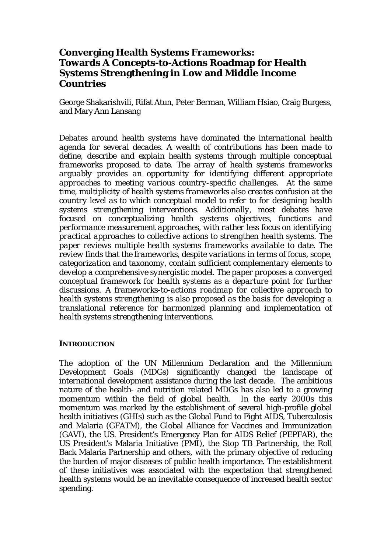# **Converging Health Systems Frameworks: Towards A Concepts-to-Actions Roadmap for Health Systems Strengthening in Low and Middle Income Countries**

George Shakarishvili, Rifat Atun, Peter Berman, William Hsiao, Craig Burgess, and Mary Ann Lansang

*Debates around health systems have dominated the international health agenda for several decades. A wealth of contributions has been made to define, describe and explain health systems through multiple conceptual frameworks proposed to date. The array of health systems frameworks arguably provides an opportunity for identifying different appropriate approaches to meeting various country-specific challenges. At the same time, multiplicity of health systems frameworks also creates confusion at the country level as to which conceptual model to refer to for designing health systems strengthening interventions. Additionally, most debates have focused on conceptualizing health systems objectives, functions and performance measurement approaches, with rather less focus on identifying practical approaches to collective actions to strengthen health systems. The paper reviews multiple health systems frameworks available to date. The review finds that the frameworks, despite variations in terms of focus, scope, categorization and taxonomy, contain sufficient complementary elements to develop a comprehensive synergistic model. The paper proposes a converged conceptual framework for health systems as a departure point for further discussions. A frameworks-to-actions roadmap for collective approach to health systems strengthening is also proposed as the basis for developing a translational reference for harmonized planning and implementation of health systems strengthening interventions.* 

### **INTRODUCTION**

The adoption of the UN Millennium Declaration and the Millennium Development Goals (MDGs) significantly changed the landscape of international development assistance during the last decade. The ambitious nature of the health- and nutrition related MDGs has also led to a growing momentum within the field of global health. In the early 2000s this momentum was marked by the establishment of several high-profile global health initiatives (GHIs) such as the Global Fund to Fight AIDS, Tuberculosis and Malaria (GFATM), the Global Alliance for Vaccines and Immunization (GAVI), the US. President's Emergency Plan for AIDS Relief (PEPFAR), the US President's Malaria Initiative (PMI), the Stop TB Partnership, the Roll Back Malaria Partnership and others, with the primary objective of reducing the burden of major diseases of public health importance. The establishment of these initiatives was associated with the expectation that strengthened health systems would be an inevitable consequence of increased health sector spending.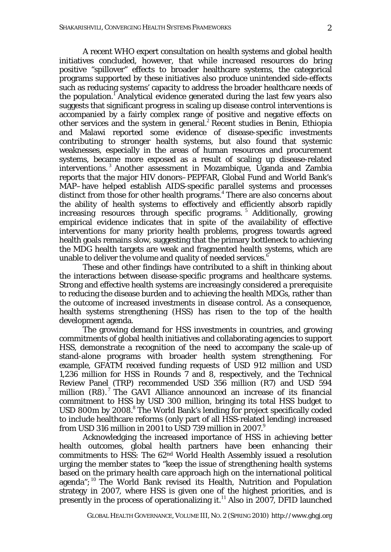A recent WHO expert consultation on health systems and global health initiatives concluded, however, that while increased resources do bring positive "spillover" effects to broader healthcare systems, the categorical programs supported by these initiatives also produce unintended side-effects such as reducing systems' capacity to address the broader healthcare needs of the population. Analytical evidence generated during the last few years also suggests that significant progress in scaling up disease control interventions is accompanied by a fairly complex range of positive and negative effects on other services and the system in general.<sup>2</sup> Recent studies in Benin, Ethiopia and Malawi reported some evidence of disease-specific investments contributing to stronger health systems, but also found that systemic weaknesses, especially in the areas of human resources and procurement systems, became more exposed as a result of scaling up disease-related interventions.<sup>3</sup> Another assessment in Mozambique, Uganda and Zambia reports that the major HIV donors–PEPFAR, Global Fund and World Bank's MAP–have helped establish AIDS-specific parallel systems and processes distinct from those for other health programs.<sup>4</sup> There are also concerns about the ability of health systems to effectively and efficiently absorb rapidly increasing resources through specific programs. <sup>5</sup> Additionally, growing empirical evidence indicates that in spite of the availability of effective interventions for many priority health problems, progress towards agreed health goals remains slow, suggesting that the primary bottleneck to achieving the MDG health targets are weak and fragmented health systems, which are unable to deliver the volume and quality of needed services.<sup>6</sup>

These and other findings have contributed to a shift in thinking about the interactions between disease-specific programs and healthcare systems. Strong and effective health systems are increasingly considered a *prerequisite*  to reducing the disease burden and to achieving the health MDGs, rather than the *outcome* of increased investments in disease control. As a consequence, health systems strengthening (HSS) has risen to the top of the health development agenda.

The growing demand for HSS investments in countries, and growing commitments of global health initiatives and collaborating agencies to support HSS, demonstrate a recognition of the need to accompany the scale-up of stand-alone programs with broader health system strengthening. For example, GFATM received funding requests of USD 912 million and USD 1,236 million for HSS in Rounds 7 and 8, respectively, and the Technical Review Panel (TRP) recommended USD 356 million (R7) and USD 594 million  $(R8)$ . The GAVI Alliance announced an increase of its financial commitment to HSS by USD 300 million, bringing its total HSS budget to USD 800m by 2008.<sup>8</sup> The World Bank's lending for project specifically coded to include healthcare reforms (only part of all HSS-related lending) increased from USD 316 million in 2001 to USD 739 million in 2007.<sup>9</sup>

Acknowledging the increased importance of HSS in achieving better health outcomes, global health partners have been enhancing their commitments to HSS: The 62nd World Health Assembly issued a resolution urging the member states to "keep the issue of strengthening health systems based on the primary health care approach high on the international political agenda";<sup>10</sup> The World Bank revised its Health, Nutrition and Population strategy in 2007, where HSS is given one of the highest priorities, and is presently in the process of operationalizing it.<sup>11</sup> Also in 2007, DFID launched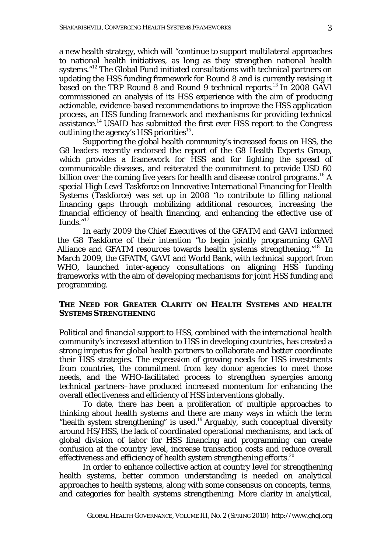a new health strategy, which will "continue to support multilateral approaches to national health initiatives, as long as they strengthen national health systems."<sup>12</sup> The Global Fund initiated consultations with technical partners on updating the HSS funding framework for Round 8 and is currently revising it based on the TRP Round 8 and Round 9 technical reports.<sup>13</sup> In 2008 GAVI commissioned an analysis of its HSS experience with the aim of producing actionable, evidence-based recommendations to improve the HSS application process, an HSS funding framework and mechanisms for providing technical  $\overline{\mathbf{a}}$  assistance.<sup>14</sup> USAID has submitted the first ever HSS report to the Congress outlining the agency's HSS priorities<sup>15</sup>.

Supporting the global health community's increased focus on HSS, the G8 leaders recently endorsed the report of the G8 Health Experts Group, which provides a framework for HSS and for fighting the spread of communicable diseases, and reiterated the commitment to provide USD 60 billion over the coming five years for health and disease control programs.<sup>16</sup> A special High Level Taskforce on Innovative International Financing for Health Systems (Taskforce) was set up in 2008 "to contribute to filling national financing gaps through mobilizing additional resources, increasing the financial efficiency of health financing, and enhancing the effective use of funds." $17$ 

In early 2009 the Chief Executives of the GFATM and GAVI informed the G8 Taskforce of their intention "to begin jointly programming GAVI Alliance and GFATM resources towards health systems strengthening."<sup>18</sup> In March 2009, the GFATM, GAVI and World Bank, with technical support from WHO, launched inter-agency consultations on aligning HSS funding frameworks with the aim of developing mechanisms for joint HSS funding and programming.

### **THE NEED FOR GREATER CLARITY ON HEALTH SYSTEMS AND HEALTH SYSTEMS STRENGTHENING**

Political and financial support to HSS, combined with the international health community's increased attention to HSS in developing countries, has created a strong impetus for global health partners to collaborate and better coordinate their HSS strategies. The expression of growing needs for HSS investments from countries, the commitment from key donor agencies to meet those needs, and the WHO-facilitated process to strengthen synergies among technical partners–have produced increased momentum for enhancing the overall effectiveness and efficiency of HSS interventions globally.

To date, there has been a proliferation of multiple approaches to thinking about health systems and there are many ways in which the term "health system strengthening" is used.<sup>19</sup> Arguably, such conceptual diversity around HS/HSS, the lack of coordinated operational mechanisms, and lack of global division of labor for HSS financing and programming can create confusion at the country level, increase transaction costs and reduce overall effectiveness and efficiency of health system strengthening efforts. $^{20}$ 

 In order to enhance collective action at country level for strengthening health systems, better common understanding is needed on analytical approaches to health systems, along with some consensus on concepts, terms, and categories for health systems strengthening. More clarity in analytical,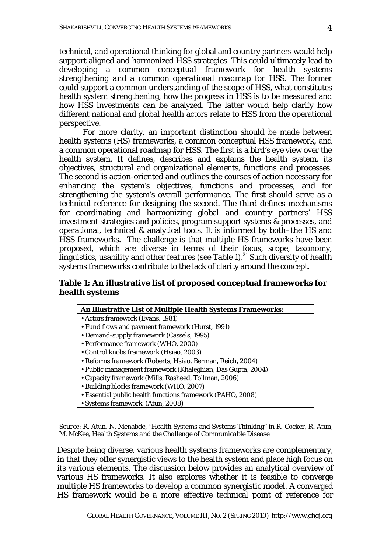technical, and operational thinking for global and country partners would help support aligned and harmonized HSS strategies. This could ultimately lead to developing a *common conceptual framework for health systems strengthening and a common operational roadmap for HSS.* The former could support a common understanding of the scope of HSS, what constitutes health system strengthening, how the progress in HSS is to be measured and how HSS investments can be analyzed. The latter would help clarify how different national and global health actors relate to HSS from the operational perspective.

For more clarity, an important distinction should be made between health systems (HS) frameworks, a common conceptual HSS framework, and a common operational roadmap for HSS. The first is a bird's eye view over the health system. It defines, describes and explains the health system, its objectives, structural and organizational elements, functions and processes. The second is action-oriented and outlines the courses of action necessary for enhancing the system's objectives, functions and processes, and for strengthening the system's overall performance. The first should serve as a technical reference for designing the second. The third defines mechanisms for coordinating and harmonizing global and country partners' HSS investment strategies and policies, program support systems & processes, and operational, technical & analytical tools. It is informed by both–the HS and HSS frameworks. The challenge is that multiple HS frameworks have been proposed, which are diverse in terms of their focus, scope, taxonomy, linguistics, usability and other features (see Table 1).<sup>21</sup> Such diversity of health systems frameworks contribute to the lack of clarity around the concept.

### **Table 1: An illustrative list of proposed conceptual frameworks for health systems**

#### **An Illustrative List of Multiple Health Systems Frameworks:**

- Actors framework (Evans, 1981)
- Fund flows and payment framework (Hurst, 1991)
- Demand-supply framework (Cassels, 1995)
- Performance framework (WHO, 2000)
- Control knobs framework (Hsiao, 2003)
- Reforms framework (Roberts, Hsiao, Berman, Reich, 2004)
- Public management framework (Khaleghian, Das Gupta, 2004)
- Capacity framework (Mills, Rasheed, Tollman, 2006)
- Building blocks framework (WHO, 2007)
- Essential public health functions framework (PAHO, 2008)
- Systems framework (Atun, 2008)

Source: R. Atun, N. Menabde, "Health Systems and Systems Thinking" in R. Cocker, R. Atun, M. McKee, *Health Systems and the Challenge of Communicable Disease*

Despite being diverse, various health systems frameworks are complementary, in that they offer synergistic views to the health system and place high focus on its various elements. The discussion below provides an analytical overview of various HS frameworks. It also explores whether it is feasible to converge multiple HS frameworks to develop a common synergistic model. A converged HS framework would be a more effective technical point of reference for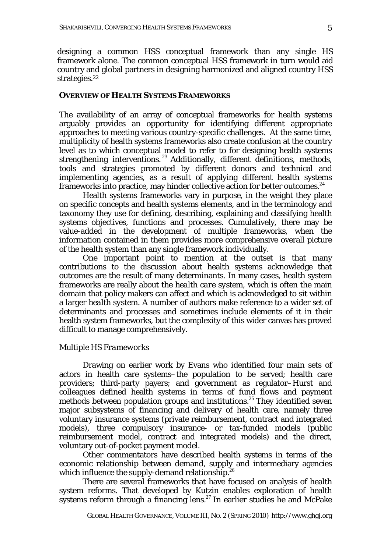designing a *common* HSS conceptual framework than any single HS framework alone. The common conceptual HSS framework in turn would aid country and global partners in designing harmonized and aligned country HSS strategies.<sup>22</sup>

#### **OVERVIEW OF HEALTH SYSTEMS FRAMEWORKS**

The availability of an array of conceptual frameworks for health systems arguably provides an opportunity for identifying different appropriate approaches to meeting various country-specific challenges. At the same time, multiplicity of health systems frameworks also create confusion at the country level as to which conceptual model to refer to for designing health systems strengthening interventions.<sup>23</sup> Additionally, different definitions, methods, tools and strategies promoted by different donors and technical and implementing agencies, as a result of applying different health systems frameworks into practice, may hinder collective action for better outcomes.  $24$ 

Health systems frameworks vary in purpose, in the weight they place on specific concepts and health systems elements, and in the terminology and taxonomy they use for defining, describing, explaining and classifying health systems objectives, functions and processes. Cumulatively, there may be value-added in the development of multiple frameworks, when the information contained in them provides more comprehensive overall picture of the health system than any single framework individually.

One important point to mention at the outset is that many contributions to the discussion about health systems acknowledge that outcomes are the result of many determinants. In many cases, health system frameworks are really about the *health care system,* which is often the main domain that policy makers can affect and which is acknowledged to sit within a larger *health system.* A number of authors make reference to a wider set of determinants and processes and sometimes include elements of it in their health system frameworks, but the complexity of this wider canvas has proved difficult to manage comprehensively.

#### *Multiple HS Frameworks*

Drawing on earlier work by Evans who identified four main sets of actors in health care systems–the population to be served; health care providers; third-party payers; and government as regulator–Hurst and colleagues defined health systems in terms of fund flows and payment methods between population groups and institutions.<sup>25</sup> They identified seven major subsystems of financing and delivery of health care, namely three voluntary insurance systems (private reimbursement, contract and integrated models), three compulsory insurance- or tax-funded models (public reimbursement model, contract and integrated models) and the direct, voluntary out-of-pocket payment model.

Other commentators have described health systems in terms of the economic relationship between demand, supply and intermediary agencies which influence the supply-demand relationship.<sup>26</sup>

There are several frameworks that have focused on analysis of health system reforms. That developed by Kutzin enables exploration of health systems reform through a financing  $lens.<sup>27</sup>$  In earlier studies he and McPake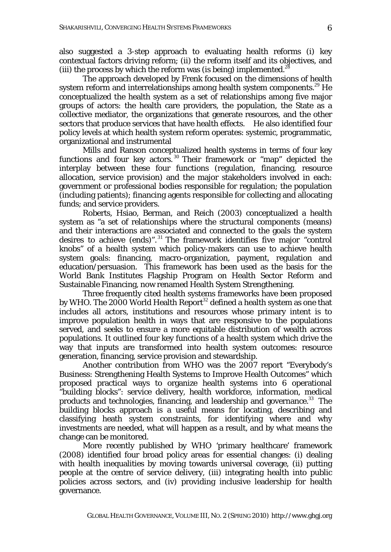also suggested a 3-step approach to evaluating health reforms (i) key contextual factors driving reform; (ii) the reform itself and its objectives, and (iii) the process by which the reform was (is being) implemented.<sup>28</sup>

The approach developed by Frenk focused on the dimensions of health system reform and interrelationships among health system components.<sup>29</sup> He conceptualized the health system as a set of relationships among five major groups of actors: the health care providers, the population, the State as a collective mediator, the organizations that generate resources, and the other sectors that produce services that have health effects. He also identified four policy levels at which health system reform operates: systemic, programmatic, organizational and instrumental

Mills and Ranson conceptualized health systems in terms of four key functions and four key actors. <sup>30</sup> Their framework or "map" depicted the interplay between these four functions (regulation, financing, resource allocation, service provision) and the major stakeholders involved in each: government or professional bodies responsible for regulation; the population (including patients); financing agents responsible for collecting and allocating funds; and service providers.

Roberts, Hsiao, Berman, and Reich (2003) conceptualized a health system as "a set of relationships where the structural components (means) and their interactions are associated and connected to the goals the system desires to achieve (ends)". <sup>31</sup> The framework identifies five major "control knobs" of a health system which policy-makers can use to achieve health system goals: financing, macro-organization, payment, regulation and education/persuasion. This framework has been used as the basis for the World Bank Institutes Flagship Program on Health Sector Reform and Sustainable Financing, now renamed Health System Strengthening.

Three frequently cited health systems frameworks have been proposed by WHO. The 2000 World Health Report<sup>32</sup> defined a health system as one that includes all actors, institutions and resources whose primary intent is to improve population health in ways that are responsive to the populations served, and seeks to ensure a more equitable distribution of wealth across populations. It outlined four key functions of a health system which drive the way that inputs are transformed into health system outcomes: resource generation, financing, service provision and stewardship.

Another contribution from WHO was the 2007 report "Everybody's Business: Strengthening Health Systems to Improve Health Outcomes" which proposed practical ways to organize health systems into 6 operational "building blocks": service delivery, health workforce, information, medical products and technologies, financing, and leadership and governance.<sup>33</sup> The building blocks approach is a useful means for locating, describing and classifying heath system constraints, for identifying where and why investments are needed, what will happen as a result, and by what means the change can be monitored.

More recently published by WHO 'primary healthcare' framework (2008) identified four broad policy areas for essential changes: (i) dealing with health inequalities by moving towards universal coverage, (ii) putting people at the centre of service delivery, (iii) integrating health into public policies across sectors, and (iv) providing inclusive leadership for health governance.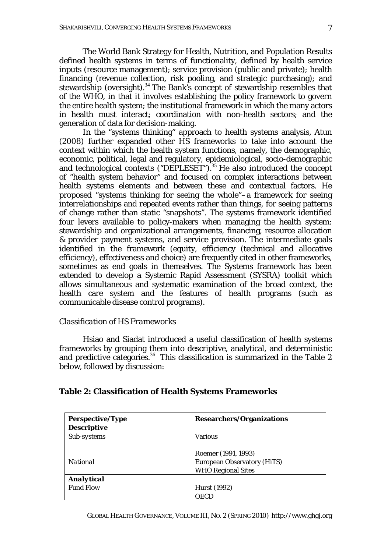The World Bank Strategy for Health, Nutrition, and Population Results defined health systems in terms of functionality, defined by health service inputs (resource management); service provision (public and private); health financing (revenue collection, risk pooling, and strategic purchasing); and stewardship (oversight).<sup>34</sup> The Bank's concept of stewardship resembles that of the WHO, in that it involves establishing the policy framework to govern the entire health system; the institutional framework in which the many actors in health must interact; coordination with non-health sectors; and the generation of data for decision-making.

In the "systems thinking" approach to health systems analysis, Atun (2008) further expanded other HS frameworks to take into account the context within which the health system functions, namely, the demographic, economic, political, legal and regulatory, epidemiological, socio-demographic and technological contexts ("DEPLESET").<sup>35</sup> He also introduced the concept of "health system behavior" and focused on complex interactions between health systems elements and between these and contextual factors. He proposed "systems thinking for seeing the whole"–a framework for seeing interrelationships and repeated events rather than things, for seeing patterns of change rather than static "snapshots". The systems framework identified four levers available to policy-makers when managing the health system: stewardship and organizational arrangements, financing, resource allocation & provider payment systems, and service provision. The intermediate goals identified in the framework (equity, efficiency (technical and allocative efficiency), effectiveness and choice) are frequently cited in other frameworks, sometimes as end goals in themselves. The Systems framework has been extended to develop a Systemic Rapid Assessment (SYSRA) toolkit which allows simultaneous and systematic examination of the broad context, the health care system and the features of health programs (such as communicable disease control programs).

### *Classification of HS Frameworks*

Hsiao and Siadat introduced a useful classification of health systems frameworks by grouping them into descriptive, analytical, and deterministic and predictive categories.<sup>36</sup> This classification is summarized in the Table 2 below, followed by discussion:

| <b>Perspective/Type</b> | <b>Researchers/Organizations</b>   |
|-------------------------|------------------------------------|
| <b>Descriptive</b>      |                                    |
| Sub-systems             | <b>Various</b>                     |
|                         | Roemer (1991, 1993)                |
| <b>National</b>         | <b>European Observatory (HiTS)</b> |
|                         | <b>WHO Regional Sites</b>          |
| <b>Analytical</b>       |                                    |
| <b>Fund Flow</b>        | Hurst (1992)                       |
|                         |                                    |

#### **Table 2: Classification of Health Systems Frameworks**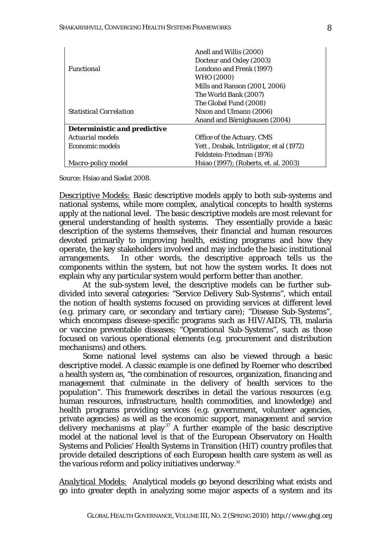|                                     | Anell and Willis (2000)                  |
|-------------------------------------|------------------------------------------|
|                                     | Docteur and Oxley (2003)                 |
| <i><b>Functional</b></i>            | Londono and Frenk (1997)                 |
|                                     | WHO (2000)                               |
|                                     | Mills and Ranson (2001, 2006)            |
|                                     | The World Bank (2007)                    |
|                                     | The Global Fund (2008)                   |
| <b>Statistical Correlation</b>      | Nixon and Ulmann (2006)                  |
|                                     | Anand and Bärnighausen (2004)            |
| <b>Deterministic and predictive</b> |                                          |
| Actuarial models                    | Office of the Actuary, CMS               |
| Economic models                     | Yett, Drabak, Intriligator, et al (1972) |
|                                     | Feldstein-Friedman (1976)                |
| Macro-policy model                  | Hsiao (1997); (Roberts, et. al. 2003)    |

Source: Hsiao and Siadat 2008.

*Descriptive Models:* Basic descriptive models apply to both sub-systems and national systems, while more complex, analytical concepts to health systems apply at the national level. The basic descriptive models are most relevant for general understanding of health systems. They essentially provide a basic description of the systems themselves, their financial and human resources devoted primarily to improving health, existing programs and how they operate, the key stakeholders involved and may include the basic institutional arrangements. In other words, the descriptive approach tells us the components within the system, but not how the system works. It does not explain why any particular system would perform better than another.

At the sub-system level, the descriptive models can be further subdivided into several categories: "Service Delivery Sub-Systems", which entail the notion of health systems focused on providing services at different level (e.g. primary care, or secondary and tertiary care); "Disease Sub-Systems", which encompass disease-specific programs such as HIV/AIDS, TB, malaria or vaccine preventable diseases; "Operational Sub-Systems", such as those focused on various operational elements (e.g. procurement and distribution mechanisms) and others.

Some national level systems can also be viewed through a basic descriptive model. A classic example is one defined by Roemer who described a health system as, "the combination of resources, organization, financing and management that culminate in the delivery of health services to the population". This framework describes in detail the various resources (e.g. human resources, infrastructure, health commodities, and knowledge) and health programs providing services (e.g. government, volunteer agencies, private agencies) as well as the economic support, management and service delivery mechanisms at play<sup>37</sup> A further example of the basic descriptive model at the national level is that of the European Observatory on Health Systems and Policies' Health Systems in Transition (HiT) country profiles that provide detailed descriptions of each European health care system as well as the various reform and policy initiatives underway.<sup>38</sup>

*Analytical Models:* Analytical models go beyond describing what exists and go into greater depth in analyzing some major aspects of a system and its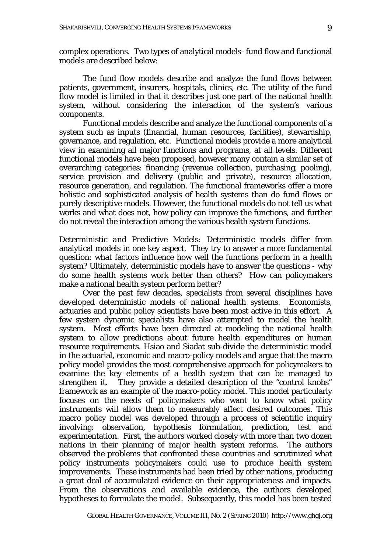complex operations. Two types of analytical models–fund flow and functional models are described below:

The fund flow models describe and analyze the fund flows between patients, government, insurers, hospitals, clinics, etc. The utility of the fund flow model is limited in that it describes just one part of the national health system, without considering the interaction of the system's various components.

Functional models describe and analyze the functional components of a system such as inputs (financial, human resources, facilities), stewardship, governance, and regulation, etc. Functional models provide a more analytical view in examining all major functions and programs, at all levels. Different functional models have been proposed, however many contain a similar set of overarching categories: financing (revenue collection, purchasing, pooling), service provision and delivery (public and private), resource allocation, resource generation, and regulation. The functional frameworks offer a more holistic and sophisticated analysis of health systems than do fund flows or purely descriptive models. However, the functional models do not tell us what works and what does not, how policy can improve the functions, and further do not reveal the interaction among the various health system functions.

*Deterministic and Predictive Models:* Deterministic models differ from analytical models in one key aspect. They try to answer a more fundamental question: what factors influence how well the functions perform in a health system? Ultimately, deterministic models have to answer the questions - why do some health systems work better than others? How can policymakers make a national health system perform better?

 Over the past few decades, specialists from several disciplines have developed deterministic models of national health systems. Economists, actuaries and public policy scientists have been most active in this effort. A few system dynamic specialists have also attempted to model the health system. Most efforts have been directed at modeling the national health system to allow predictions about future health expenditures or human resource requirements. Hsiao and Siadat sub-divide the deterministic model in the actuarial, economic and macro-policy models and argue that the macro policy model provides the most comprehensive approach for policymakers to examine the key elements of a health system that can be managed to strengthen it. They provide a detailed description of the "control knobs" framework as an example of the macro-policy model. This model particularly focuses on the needs of policymakers who want to know what policy instruments will allow them to measurably affect desired outcomes. This macro policy model was developed through a process of scientific inquiry involving: observation, hypothesis formulation, prediction, test and experimentation. First, the authors worked closely with more than two dozen nations in their planning of major health system reforms. The authors observed the problems that confronted these countries and scrutinized what policy instruments policymakers could use to produce health system improvements. These instruments had been tried by other nations, producing a great deal of accumulated evidence on their appropriateness and impacts. From the observations and available evidence, the authors developed hypotheses to formulate the model. Subsequently, this model has been tested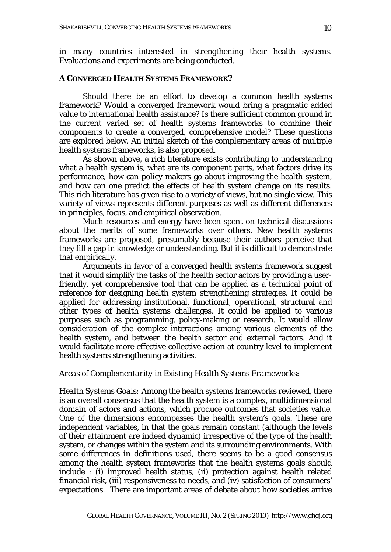in many countries interested in strengthening their health systems. Evaluations and experiments are being conducted.

#### **A CONVERGED HEALTH SYSTEMS FRAMEWORK?**

Should there be an effort to develop a common health systems framework? Would a converged framework would bring a pragmatic added value to international health assistance? Is there sufficient common ground in the current varied set of health systems frameworks to combine their components to create a converged, comprehensive model? These questions are explored below. An initial sketch of the complementary areas of multiple health systems frameworks, is also proposed.

As shown above, a rich literature exists contributing to understanding what a health system is, what are its component parts, what factors drive its performance, how can policy makers go about improving the health system, and how can one predict the effects of health system change on its results. This rich literature has given rise to a variety of views, but no single view. This variety of views represents different purposes as well as different differences in principles, focus, and empirical observation.

Much resources and energy have been spent on technical discussions about the merits of some frameworks over others. New health systems frameworks are proposed, presumably because their authors perceive that they fill a gap in knowledge or understanding. But it is difficult to demonstrate that empirically.

Arguments in favor of a converged health systems framework suggest that it would simplify the tasks of the health sector actors by providing a userfriendly, yet comprehensive tool that can be applied as a technical point of reference for designing health system strengthening strategies. It could be applied for addressing institutional, functional, operational, structural and other types of health systems challenges. It could be applied to various purposes such as programming, policy-making or research. It would allow consideration of the complex interactions among various elements of the health system, and between the health sector and external factors. And it would facilitate more effective collective action at country level to implement health systems strengthening activities.

#### *Areas of Complementarity in Existing Health Systems Frameworks:*

*Health Systems Goals:* Among the health systems frameworks reviewed, there is an overall consensus that the health system is a complex, multidimensional domain of actors and actions, which produce outcomes that societies value. One of the dimensions encompasses the health system's goals. These are independent variables, in that the goals remain constant (although the levels of their attainment are indeed dynamic) irrespective of the type of the health system, or changes within the system and its surrounding environments. With some differences in definitions used, there seems to be a good consensus among the health system frameworks that the health systems goals should include : (i) improved health status, (ii) protection against health related financial risk, (iii) responsiveness to needs, and (iv) satisfaction of consumers' expectations. There are important areas of debate about how societies arrive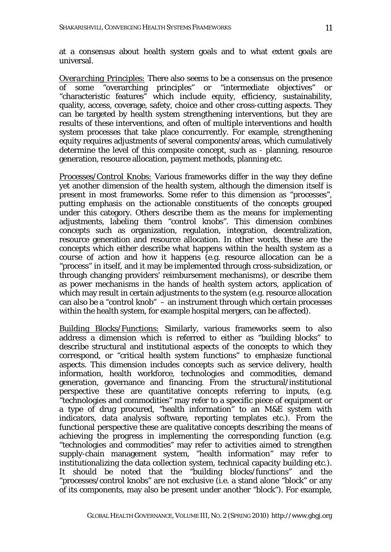at a consensus about health system goals and to what extent goals are universal.

*Overarching Principles:* There also seems to be a consensus on the presence of some "overarching principles" or "intermediate objectives" or "characteristic features" which include equity, efficiency, sustainability, quality, access, coverage, safety, choice and other cross-cutting aspects. They can be targeted by health system strengthening interventions, but they are results of these interventions, and often of multiple interventions and health system processes that take place concurrently. For example, strengthening equity requires adjustments of several components/areas, which cumulatively determine the level of this composite concept, such as - planning, resource generation, resource allocation, payment methods, planning etc.

*Processes/Control Knobs:* Various frameworks differ in the way they define yet another dimension of the health system, although the dimension itself is present in most frameworks. Some refer to this dimension as "processes", putting emphasis on the actionable constituents of the concepts grouped under this category. Others describe them as the means for implementing adjustments, labeling them "control knobs". This dimension combines concepts such as organization, regulation, integration, decentralization, resource generation and resource allocation. In other words, these are the concepts which either describe what happens within the health system as a course of action and how it happens (e.g. resource allocation can be a "process" in itself, and it may be implemented through cross-subsidization, or through changing providers' reimbursement mechanisms), or describe them as power mechanisms in the hands of health system actors, application of which may result in certain adjustments to the system (e.g. resource allocation can also be a "control knob" – an instrument through which certain processes within the health system, for example hospital mergers, can be affected).

*Building Blocks/Functions:* Similarly, various frameworks seem to also address a dimension which is referred to either as "building blocks" to describe structural and institutional aspects of the concepts to which they correspond, or "critical health system functions" to emphasize functional aspects. This dimension includes concepts such as service delivery, health information, health workforce, technologies and commodities, demand generation, governance and financing. From the structural/institutional perspective these are quantitative concepts referring to inputs, (e.g. "technologies and commodities" may refer to a specific piece of equipment or a type of drug procured, "health information" to an M&E system with indicators, data analysis software, reporting templates etc.). From the functional perspective these are qualitative concepts describing the means of achieving the progress in implementing the corresponding function (e.g. "technologies and commodities" may refer to activities aimed to strengthen supply-chain management system, "health information" may refer to institutionalizing the data collection system, technical capacity building etc.). It should be noted that the "building blocks/functions" and the "processes/control knobs" are not exclusive (i.e. a stand alone "block" or any of its components, may also be present under another "block"). For example,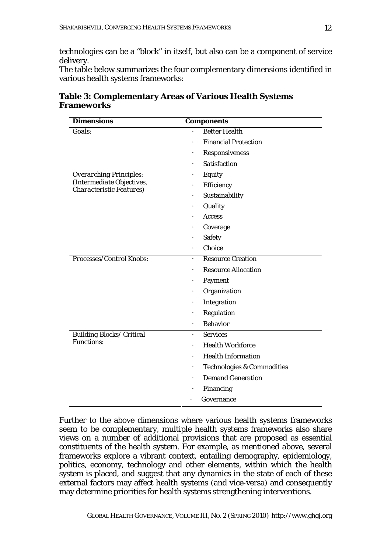technologies can be a "block" in itself, but also can be a component of service delivery.

The table below summarizes the four complementary dimensions identified in various health systems frameworks:

| <b>Dimensions</b>                                             | <b>Components</b>                                  |
|---------------------------------------------------------------|----------------------------------------------------|
| Goals:                                                        | <b>Better Health</b>                               |
|                                                               | <b>Financial Protection</b>                        |
|                                                               | Responsiveness                                     |
|                                                               | <b>Satisfaction</b>                                |
| <b>Overarching Principles:</b>                                | Equity<br>$\bullet$                                |
| (Intermediate Objectives,<br><b>Characteristic Features</b> ) | Efficiency                                         |
|                                                               | Sustainability                                     |
|                                                               | Quality                                            |
|                                                               | Access                                             |
|                                                               | Coverage                                           |
|                                                               | <b>Safety</b>                                      |
|                                                               | Choice                                             |
| Processes/Control Knobs:                                      | <b>Resource Creation</b>                           |
|                                                               | <b>Resource Allocation</b>                         |
|                                                               | Payment<br>$\bullet$                               |
|                                                               | Organization                                       |
|                                                               | Integration                                        |
|                                                               | Regulation                                         |
|                                                               | <b>Behavior</b>                                    |
| <b>Building Blocks/ Critical</b>                              | <b>Services</b>                                    |
| <b>Functions:</b>                                             | <b>Health Workforce</b>                            |
|                                                               | <b>Health Information</b>                          |
|                                                               | <b>Technologies &amp; Commodities</b><br>$\bullet$ |
|                                                               | <b>Demand Generation</b>                           |
|                                                               | <b>Financing</b>                                   |
|                                                               | Governance                                         |

**Table 3: Complementary Areas of Various Health Systems Frameworks**

Further to the above dimensions where various health systems frameworks seem to be complementary, multiple health systems frameworks also share views on a number of additional provisions that are proposed as essential constituents of the health system. For example, as mentioned above, several frameworks explore a vibrant context, entailing demography, epidemiology, politics, economy, technology and other elements, within which the health system is placed, and suggest that any dynamics in the state of each of these external factors may affect health systems (and vice-versa) and consequently may determine priorities for health systems strengthening interventions.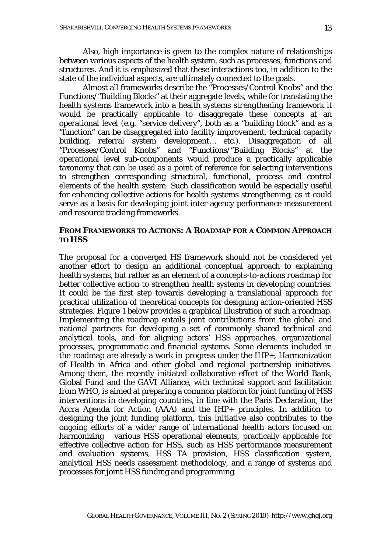Also, high importance is given to the complex nature of relationships between various aspects of the health system, such as processes, functions and structures. And it is emphasized that these interactions too, in addition to the state of the individual aspects, are ultimately connected to the goals.

Almost all frameworks describe the "Processes/Control Knobs" and the Functions/"Building Blocks" at their aggregate levels, while for translating the health systems framework into a health systems *strengthening* framework it would be practically applicable to disaggregate these concepts at an operational level (e.g. "service delivery", both as a "building block" and as a "function" can be disaggregated into facility improvement, technical capacity building, referral system development… etc.). Disaggregation of all "Processes/Control Knobs" and "Functions/"Building Blocks" at the operational level sub-components would produce a practically applicable taxonomy that can be used as a point of reference for selecting interventions to strengthen corresponding structural, functional, process and control elements of the health system. Such classification would be especially useful for enhancing collective actions for health systems strengthening, as it could serve as a basis for developing joint inter-agency performance measurement and resource tracking frameworks.

### **FROM FRAMEWORKS TO ACTIONS: A ROADMAP FOR A COMMON APPROACH TO HSS**

The proposal for a converged HS framework should not be considered yet another effort to design an additional conceptual approach to explaining health systems, but rather as an element of a *concepts-to-actions roadmap* for better collective action to strengthen health systems in developing countries. It could be the first step towards developing a translational approach for practical utilization of theoretical concepts for designing action-oriented HSS strategies. Figure 1 below provides a graphical illustration of such a roadmap. Implementing the roadmap entails joint contributions from the global and national partners for developing a set of commonly shared technical and analytical tools, and for aligning actors' HSS approaches, organizational processes, programmatic and financial systems. Some elements included in the roadmap are already a work in progress under the IHP+, Harmonization of Health in Africa and other global and regional partnership initiatives. Among them, the recently initiated collaborative effort of the World Bank, Global Fund and the GAVI Alliance, with technical support and facilitation from WHO, is aimed at preparing a common platform for joint funding of HSS interventions in developing countries, in line with the Paris Declaration, the Accra Agenda for Action (AAA) and the IHP+ principles. In addition to designing the joint funding platform, this initiative also contributes to the ongoing efforts of a wider range of international health actors focused on harmonizing various HSS operational elements, practically applicable for effective collective action for HSS, such as HSS performance measurement and evaluation systems, HSS TA provision, HSS classification system, analytical HSS needs assessment methodology, and a range of systems and processes for joint HSS funding and programming.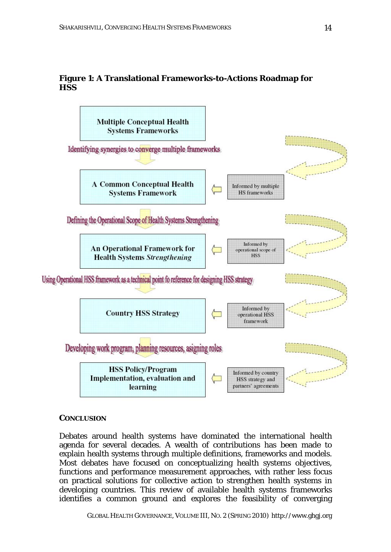## **Figure 1: A Translational Frameworks-to-Actions Roadmap for HSS**



### **CONCLUSION**

Debates around health systems have dominated the international health agenda for several decades. A wealth of contributions has been made to explain health systems through multiple definitions, frameworks and models. Most debates have focused on conceptualizing health systems objectives, functions and performance measurement approaches, with rather less focus on practical solutions for collective action to strengthen health systems in developing countries. This review of available health systems frameworks identifies a common ground and explores the feasibility of converging

*GLOBAL HEALTH GOVERNANCE*, VOLUME III, NO. 2 (SPRING 2010) http://www.ghgj.org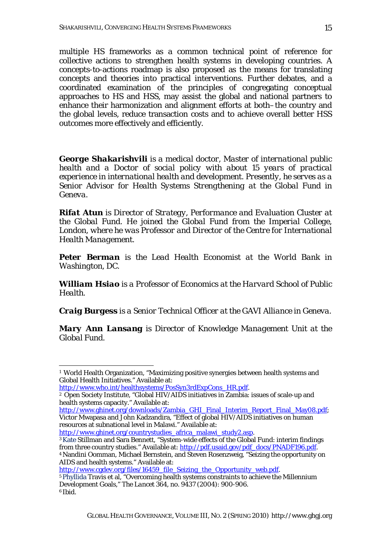multiple HS frameworks as a common technical point of reference for collective actions to strengthen health systems in developing countries. A concepts-to-actions roadmap is also proposed as the means for translating concepts and theories into practical interventions. Further debates, and a coordinated examination of the principles of congregating conceptual approaches to HS and HSS, may assist the global and national partners to enhance their harmonization and alignment efforts at both–the country and the global levels, reduce transaction costs and to achieve overall better HSS outcomes more effectively and efficiently.

*George Shakarishvili is a medical doctor, Master of international public health and a Doctor of social policy with about 15 years of practical experience in international health and development. Presently, he serves as a Senior Advisor for Health Systems Strengthening at the Global Fund in Geneva.* 

*Rifat Atun is Director of Strategy, Performance and Evaluation Cluster at the Global Fund. He joined the Global Fund from the Imperial College, London, where he was Professor and Director of the Centre for International Health Management.*

*Peter Berman is the Lead Health Economist at the World Bank in Washington, DC.* 

*William Hsiao is a Professor of Economics at the Harvard School of Public Health.* 

*Craig Burgess is a Senior Technical Officer at the GAVI Alliance in Geneva.* 

*Mary Ann Lansang is Director of Knowledge Management Unit at the Global Fund.* 

http://www.ghinet.org/downloads/Zambia\_GHI\_Final\_Interim\_Report\_Final\_May08.pdf; Victor Mwapasa and John Kadzandira, "Effect of global HIV/AIDS initiatives on human resources at subnational level in Malawi." Available at:

http://www.ghinet.org/countrystudies\_africa\_malawi\_study2.asp.<br><sup>3</sup>Kate Stillman and Sara Bennett, "System-wide effects of the Global Fund: interim findings

AIDS and health systems." Available at:<br>http://www.cgdev.org/files/16459 file Seizing the Opportunity web.pdf.

<sup>1</sup> 1 World Health Organization, "Maximizing positive synergies between health systems and Global Health Initiatives." Available at:

http://www.who.int/healthsystems/PosSyn3rdExpCons\_HR.pdf.<br><sup>2</sup> Open Society Institute, "Global HIV/AIDS initiatives in Zambia: issues of scale-up and health systems capacity." Available at:

from three country studies." Available at: http://pdf.usaid.gov/pdf\_docs/PNADF196.pdf. 4 Nandini Oomman, Michael Bernstein, and Steven Rosenzweig, "Seizing the opportunity on

<sup>&</sup>lt;sup>5</sup> Phyllida Travis et al, "Overcoming health systems constraints to achieve the Millennium Development Goals," *The Lancet* 364, no. 9437 (2004): 900-906. <sup>6</sup> *Ibid.*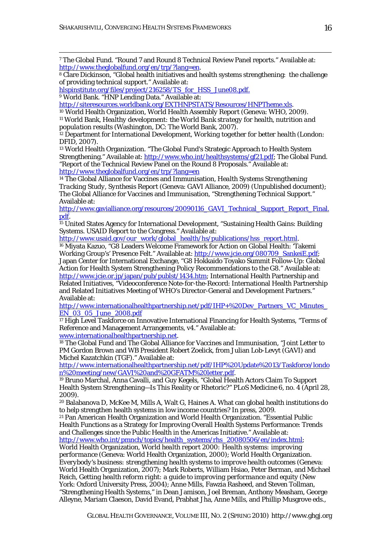7 The Global Fund. "Round 7 and Round 8 Technical Review Panel reports." Available at:

http://www.theglobalfund.org/en/trp/?lang=en.<br><sup>8</sup> Clare Dickinson, "Global health initiatives and health systems strengthening: the challenge of providing technical support." Available at:

hlspinstitute.org/files/project/216258/TS\_for\_HSS\_June08.pdf.

9 World Bank. "HNP Lending Data." Available at:

1

http://siteresources.worldbank.org/EXTHNPSTATS/Resources/HNPTheme.xls. 10 World Health Organization, *World Health Assembly Report* (Geneva: WHO, 2009).

11 World Bank, *Healthy development: the World Bank strategy for health, nutrition and population results* (Washington, DC: The World Bank, 2007).

12 Department for International Development, *Working together for better health* (London: DFID, 2007).

13 World Health Organization. "The Global Fund's Strategic Approach to Health System Strengthening." Available at: http://www.who.int/healthsystems/gf21.pdf; The Global Fund. "Report of the Technical Review Panel on the Round 8 Proposals." Available at: http://www.theglobalfund.org/en/trp/?lang=en

14 The Global Alliance for Vaccines and Immunisation, *Health Systems Strengthening Tracking Study, Synthesis Report* (Geneva: GAVI Alliance, 2009) (Unpublished document); The Global Alliance for Vaccines and Immunisation, "Strengthening Technical Support." Available at:

http://www.gavialliance.org/resources/20090116\_GAVI\_Technical\_Support\_Report\_Final.

pdf.<br><sup>15</sup> United States Agency for International Development, "Sustaining Health Gains: Building Systems. USAID Report to the Congress." Available at:<br>http://www.usaid.gov/our\_work/global\_health/hs/publications/hss\_report.html.

<sup>16</sup> Miyata Kazuo, "G8 Leaders Welcome Framework for Action on Global Health: 'Takemi Working Group's' Presence Felt." Available at: http://www.jcie.org/080709\_SankeiE.pdf; Japan Center for International Exchange, "G8 Hokkaido Toyako Summit Follow-Up: Global Action for Health System Strengthening Policy Recommendations to the G8." Available at: http://www.jcie.or.jp/japan/pub/publst/1434.htm; International Health Partnership and Related Initiatives, "Videoconference Note-for-the-Record: International Health Partnership and Related Initiatives Meeting of WHO's Director-General and Development Partners." Available at:

http://www.internationalhealthpartnership.net/pdf/IHP+%20Dev\_Partners\_VC\_Minutes\_ EN\_03\_05\_June\_2008.pdf

<sup>17</sup> High Level Taskforce on Innovative International Financing for Health Systems, "Terms of Reference and Management Arrangements, v4." Available at:

www.internationalhealthpartnership.net. 18 The Global Fund and The Global Alliance for Vaccines and Immunisation, "Joint Letter to PM Gordon Brown and WB President Robert Zoelick, from Julian Lob-Levyt (GAVI) and Michel Kazatchkin (TGF)." Available at:

http://www.internationalhealthpartnership.net/pdf/IHP%20Update%2013/Taskforce/londo

n%20meeting/new/GAVI%20and%20GFATM%20letter.pdf. 19 Bruno Marchal, Anna Cavalli, and Guy Kegels, "Global Health Actors Claim To Support Health System Strengthening—Is This Reality or Rhetoric?" *PLoS Medicine* 6, no. 4 (April 28, 2009).

20 Balabanova D, McKee M, Mills A, Walt G, Haines A. What can global health institutions do to help strengthen health systems in low income countries? In press, 2009.

21 Pan American Health Organization and World Health Organization. "Essential Public Health Functions as a Strategy for Improving Overall Health Systems Performance: Trends and Challenges since the Public Health in the Americas Initiative." Available at: http://www.who.int/pmnch/topics/health\_systems/rhs\_20080506/en/index.html;

World Health Organization, *World health report 2000: Health systems: improving performance* (Geneva: World Health Organization, 2000); World Health Organization. *Everybody's business: strengthening health systems to improve health outcomes* (Geneva: World Health Organization, 2007); Mark Roberts, William Hsiao, Peter Berman, and Michael Reich, *Getting health reform right: a guide to improving performance and equity* (New York: Oxford University Press, 2004); Anne Mills, Fawzia Rasheed, and Steven Tollman, "Strengthening Health Systems," in Dean Jamison, Joel Breman, Anthony Measham, George Alleyne, Mariam Claeson, David Evand, Prabhat Jha, Anne Mills, and Phillip Musgrove eds.,